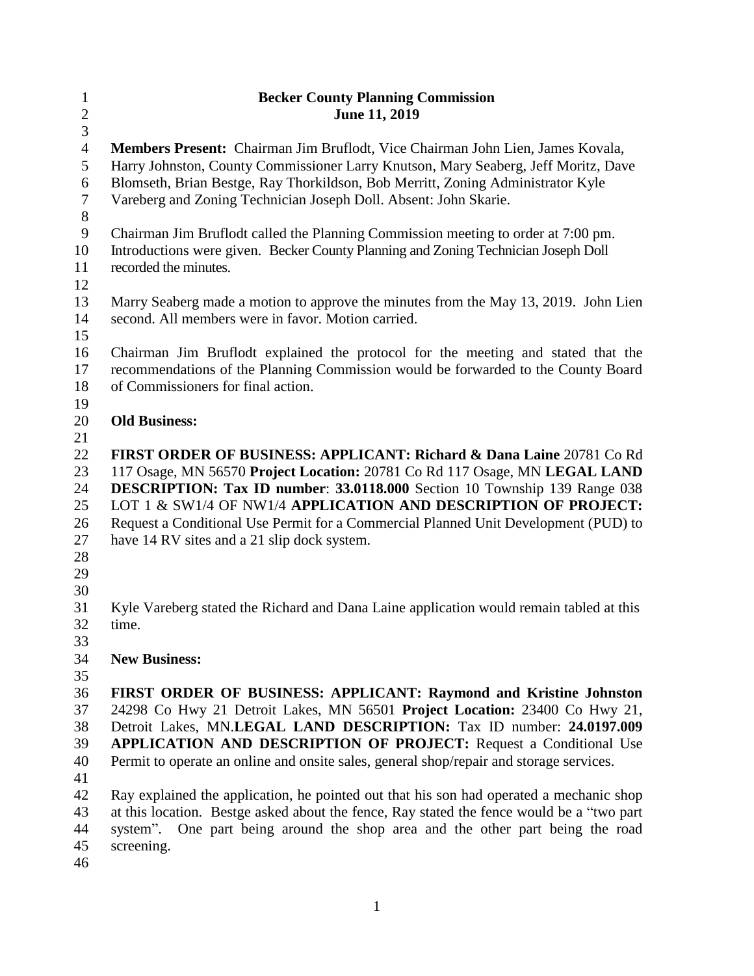| $\mathbf{1}$   | <b>Becker County Planning Commission</b>                                                  |
|----------------|-------------------------------------------------------------------------------------------|
| $\overline{c}$ | June 11, 2019                                                                             |
| $\overline{3}$ |                                                                                           |
| $\overline{4}$ | Members Present: Chairman Jim Bruflodt, Vice Chairman John Lien, James Kovala,            |
| 5              | Harry Johnston, County Commissioner Larry Knutson, Mary Seaberg, Jeff Moritz, Dave        |
| 6<br>$\tau$    | Blomseth, Brian Bestge, Ray Thorkildson, Bob Merritt, Zoning Administrator Kyle           |
| $8\,$          | Vareberg and Zoning Technician Joseph Doll. Absent: John Skarie.                          |
| $\mathbf{9}$   | Chairman Jim Bruflodt called the Planning Commission meeting to order at 7:00 pm.         |
| 10             | Introductions were given. Becker County Planning and Zoning Technician Joseph Doll        |
| 11             | recorded the minutes.                                                                     |
| 12             |                                                                                           |
| 13             | Marry Seaberg made a motion to approve the minutes from the May 13, 2019. John Lien       |
| 14             | second. All members were in favor. Motion carried.                                        |
| 15             |                                                                                           |
| 16             | Chairman Jim Bruflodt explained the protocol for the meeting and stated that the          |
| 17             | recommendations of the Planning Commission would be forwarded to the County Board         |
| 18             | of Commissioners for final action.                                                        |
| 19             |                                                                                           |
| 20             | <b>Old Business:</b>                                                                      |
| 21             |                                                                                           |
| 22             | <b>FIRST ORDER OF BUSINESS: APPLICANT: Richard &amp; Dana Laine 20781 Co Rd</b>           |
| 23             | 117 Osage, MN 56570 Project Location: 20781 Co Rd 117 Osage, MN LEGAL LAND                |
| 24             | <b>DESCRIPTION: Tax ID number: 33.0118.000</b> Section 10 Township 139 Range 038          |
| 25             | LOT 1 & SW1/4 OF NW1/4 APPLICATION AND DESCRIPTION OF PROJECT:                            |
| 26             | Request a Conditional Use Permit for a Commercial Planned Unit Development (PUD) to       |
| 27             | have 14 RV sites and a 21 slip dock system.                                               |
| 28             |                                                                                           |
| 29             |                                                                                           |
| 30             |                                                                                           |
| 31<br>32       | Kyle Vareberg stated the Richard and Dana Laine application would remain tabled at this   |
| 33             | time.                                                                                     |
| 34             | <b>New Business:</b>                                                                      |
| 35             |                                                                                           |
| 36             | FIRST ORDER OF BUSINESS: APPLICANT: Raymond and Kristine Johnston                         |
| 37             | 24298 Co Hwy 21 Detroit Lakes, MN 56501 Project Location: 23400 Co Hwy 21,                |
| 38             | Detroit Lakes, MN.LEGAL LAND DESCRIPTION: Tax ID number: 24.0197.009                      |
| 39             | <b>APPLICATION AND DESCRIPTION OF PROJECT:</b> Request a Conditional Use                  |
| 40             | Permit to operate an online and onsite sales, general shop/repair and storage services.   |
| 41             |                                                                                           |
| 42             | Ray explained the application, he pointed out that his son had operated a mechanic shop   |
| 43             | at this location. Bestge asked about the fence, Ray stated the fence would be a "two part |
| 44             | One part being around the shop area and the other part being the road<br>system".         |
| 45             | screening.                                                                                |
| 46             |                                                                                           |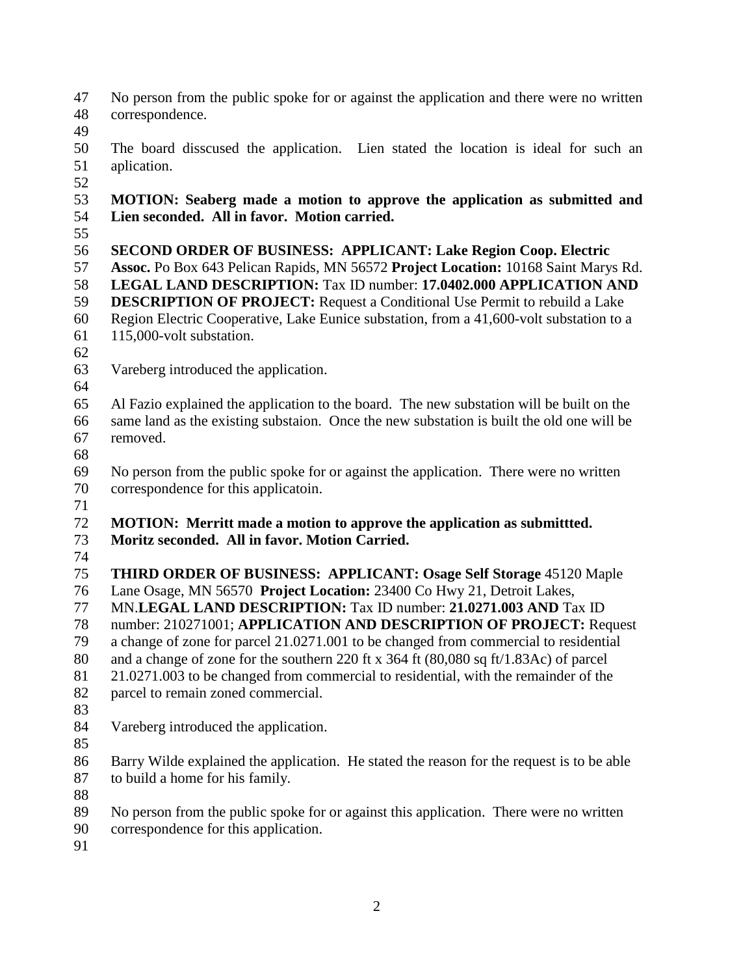- No person from the public spoke for or against the application and there were no written correspondence.
- 
- The board disscused the application. Lien stated the location is ideal for such an aplication.
- 

## **MOTION: Seaberg made a motion to approve the application as submitted and Lien seconded. All in favor. Motion carried.**

 **SECOND ORDER OF BUSINESS: APPLICANT: Lake Region Coop. Electric Assoc.** Po Box 643 Pelican Rapids, MN 56572 **Project Location:** 10168 Saint Marys Rd. **LEGAL LAND DESCRIPTION:** Tax ID number: **17.0402.000 APPLICATION AND DESCRIPTION OF PROJECT:** Request a Conditional Use Permit to rebuild a Lake Region Electric Cooperative, Lake Eunice substation, from a 41,600-volt substation to a 115,000-volt substation.

- 
- Vareberg introduced the application.
- 

 Al Fazio explained the application to the board. The new substation will be built on the same land as the existing substaion. Once the new substation is built the old one will be removed.

 No person from the public spoke for or against the application. There were no written correspondence for this applicatoin.

 **MOTION: Merritt made a motion to approve the application as submittted. Moritz seconded. All in favor. Motion Carried.**

 **THIRD ORDER OF BUSINESS: APPLICANT: Osage Self Storage** 45120 Maple Lane Osage, MN 56570 **Project Location:** 23400 Co Hwy 21, Detroit Lakes, MN.**LEGAL LAND DESCRIPTION:** Tax ID number: **21.0271.003 AND** Tax ID number: 210271001; **APPLICATION AND DESCRIPTION OF PROJECT:** Request a change of zone for parcel 21.0271.001 to be changed from commercial to residential and a change of zone for the southern 220 ft x 364 ft (80,080 sq ft/1.83Ac) of parcel 21.0271.003 to be changed from commercial to residential, with the remainder of the parcel to remain zoned commercial.

Vareberg introduced the application.

 Barry Wilde explained the application. He stated the reason for the request is to be able to build a home for his family.

- 
- No person from the public spoke for or against this application. There were no written
- correspondence for this application.
-